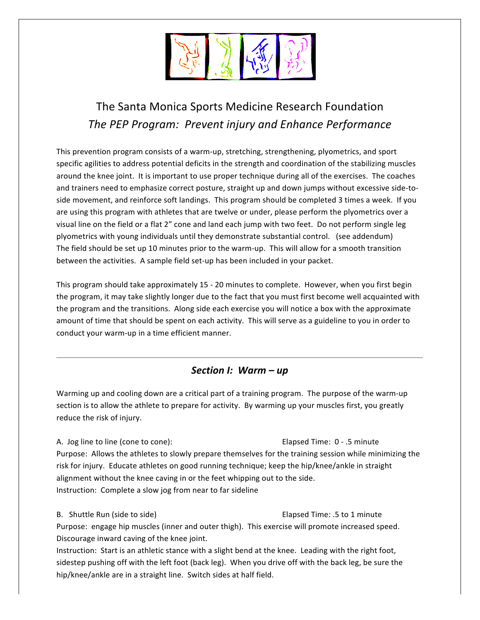

# The Santa Monica Sports Medicine Research Foundation *The\$PEP\$Program:\$\$Prevent\$injury\$and\$Enhance\$Performance*

This prevention program consists of a warm-up, stretching, strengthening, plyometrics, and sport specific agilities to address potential deficits in the strength and coordination of the stabilizing muscles around the knee joint. It is important to use proper technique during all of the exercises. The coaches and trainers need to emphasize correct posture, straight up and down jumps without excessive side-toside movement, and reinforce soft landings. This program should be completed 3 times a week. If you are using this program with athletes that are twelve or under, please perform the plyometrics over a visual line on the field or a flat 2" cone and land each jump with two feet. Do not perform single leg plyometrics with young individuals until they demonstrate substantial control. (see addendum) The field should be set up 10 minutes prior to the warm-up. This will allow for a smooth transition between the activities. A sample field set-up has been included in your packet.

This program should take approximately 15 - 20 minutes to complete. However, when you first begin the program, it may take slightly longer due to the fact that you must first become well acquainted with the program and the transitions. Along side each exercise you will notice a box with the approximate amount of time that should be spent on each activity. This will serve as a guideline to you in order to conduct your warm-up in a time efficient manner.

### *Section I: Warm – up*

Warming up and cooling down are a critical part of a training program. The purpose of the warm-up section is to allow the athlete to prepare for activity. By warming up your muscles first, you greatly reduce the risk of injury.

A. Jog line to line (cone to cone): The Cone Cone Elapsed Time: 0 - .5 minute Purpose: Allows the athletes to slowly prepare themselves for the training session while minimizing the risk for injury. Educate athletes on good running technique; keep the hip/knee/ankle in straight alignment without the knee caving in or the feet whipping out to the side. Instruction: Complete a slow jog from near to far sideline

B. Shuttle Run (side to side) **Elapsed Time:** .5 to 1 minute Purpose: engage hip muscles (inner and outer thigh). This exercise will promote increased speed. Discourage inward caving of the knee joint.

Instruction: Start is an athletic stance with a slight bend at the knee. Leading with the right foot, sidestep pushing off with the left foot (back leg). When you drive off with the back leg, be sure the hip/knee/ankle are in a straight line. Switch sides at half field.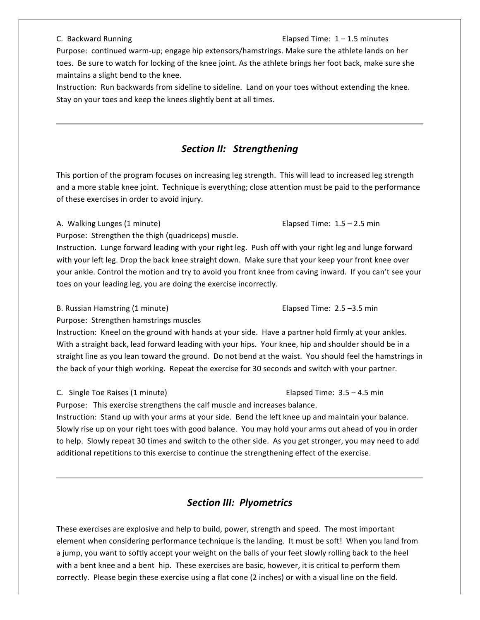#### C. Backward Running **C. Inc.** Elapsed Time:  $1 - 1.5$  minutes

Purpose: continued warm-up; engage hip extensors/hamstrings. Make sure the athlete lands on her toes. Be sure to watch for locking of the knee joint. As the athlete brings her foot back, make sure she maintains a slight bend to the knee.

Instruction: Run backwards from sideline to sideline. Land on your toes without extending the knee. Stay on your toes and keep the knees slightly bent at all times.

#### **Section II: Strengthening**

This portion of the program focuses on increasing leg strength. This will lead to increased leg strength and a more stable knee joint. Technique is everything; close attention must be paid to the performance of these exercises in order to avoid injury.

#### A. Walking Lunges (1 minute)  $\qquad \qquad$  Elapsed Time: 1.5 – 2.5 min

Purpose: Strengthen the thigh (quadriceps) muscle.

Instruction. Lunge forward leading with your right leg. Push off with your right leg and lunge forward with your left leg. Drop the back knee straight down. Make sure that your keep your front knee over your ankle. Control the motion and try to avoid you front knee from caving inward. If you can't see your toes on your leading leg, you are doing the exercise incorrectly.

B. Russian Hamstring (1 minute)  $\qquad \qquad$  Elapsed Time: 2.5 –3.5 min

Purpose: Strengthen hamstrings muscles

Instruction: Kneel on the ground with hands at your side. Have a partner hold firmly at your ankles. With a straight back, lead forward leading with your hips. Your knee, hip and shoulder should be in a straight line as you lean toward the ground. Do not bend at the waist. You should feel the hamstrings in the back of your thigh working. Repeat the exercise for 30 seconds and switch with your partner.

C.!!!Single!Toe!Raises!(1!minute) !!!!!!!!!!!!!!!! !!Elapsed!Time:!!3.5!–!4.5!min

Purpose: This exercise strengthens the calf muscle and increases balance.

Instruction: Stand up with your arms at your side. Bend the left knee up and maintain your balance. Slowly rise up on your right toes with good balance. You may hold your arms out ahead of you in order to help. Slowly repeat 30 times and switch to the other side. As you get stronger, you may need to add additional repetitions to this exercise to continue the strengthening effect of the exercise.

### **Section III: Plyometrics**

These exercises are explosive and help to build, power, strength and speed. The most important element when considering performance technique is the landing. It must be soft! When you land from a jump, you want to softly accept your weight on the balls of your feet slowly rolling back to the heel with a bent knee and a bent hip. These exercises are basic, however, it is critical to perform them correctly. Please begin these exercise using a flat cone (2 inches) or with a visual line on the field.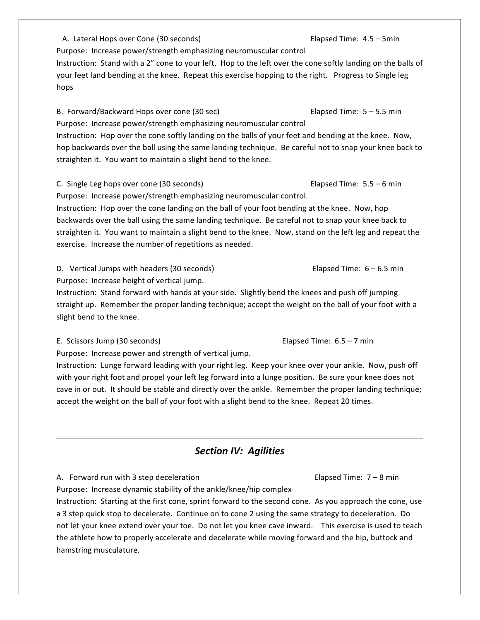A. Lateral Hops over Cone (30 seconds) Elapsed Time:  $4.5 - 5$ min Purpose: Increase power/strength emphasizing neuromuscular control Instruction: Stand with a 2" cone to your left. Hop to the left over the cone softly landing on the balls of your feet land bending at the knee. Repeat this exercise hopping to the right. Progress to Single leg hops!

B. Forward/Backward Hops over cone (30 sec) Elapsed Time: 5 – 5.5 min Purpose: Increase power/strength emphasizing neuromuscular control Instruction: Hop over the cone softly landing on the balls of your feet and bending at the knee. Now, hop backwards over the ball using the same landing technique. Be careful not to snap your knee back to straighten it. You want to maintain a slight bend to the knee.

C. Single Leg hops over cone (30 seconds) Elapsed Time: 5.5 – 6 min Purpose: Increase power/strength emphasizing neuromuscular control.

Instruction: Hop over the cone landing on the ball of your foot bending at the knee. Now, hop backwards over the ball using the same landing technique. Be careful not to snap your knee back to straighten it. You want to maintain a slight bend to the knee. Now, stand on the left leg and repeat the exercise. Increase the number of repetitions as needed.

D. Vertical Jumps with headers (30 seconds)  $\qquad \qquad$  Elapsed Time: 6 – 6.5 min

Purpose: Increase height of vertical jump.

Instruction: Stand forward with hands at your side. Slightly bend the knees and push off jumping straight up. Remember the proper landing technique; accept the weight on the ball of your foot with a slight bend to the knee.

E. Scissors Jump (30 seconds) Elapsed Time: 6.5 – 7 min

Purpose: Increase power and strength of vertical jump.

Instruction: Lunge forward leading with your right leg. Keep your knee over your ankle. Now, push off with your right foot and propel your left leg forward into a lunge position. Be sure your knee does not cave in or out. It should be stable and directly over the ankle. Remember the proper landing technique; accept the weight on the ball of your foot with a slight bend to the knee. Repeat 20 times.

## **Section IV: Agilities**

A.!!!Forward!run!with!3!step!deceleration!! !!!!!!!!!!!!!!!!!!!! !!Elapsed!Time:!!7!–!8!min

Purpose: Increase dynamic stability of the ankle/knee/hip complex

Instruction: Starting at the first cone, sprint forward to the second cone. As you approach the cone, use a 3 step quick stop to decelerate. Continue on to cone 2 using the same strategy to deceleration. Do not let your knee extend over your toe. Do not let you knee cave inward. This exercise is used to teach the athlete how to properly accelerate and decelerate while moving forward and the hip, buttock and hamstring musculature.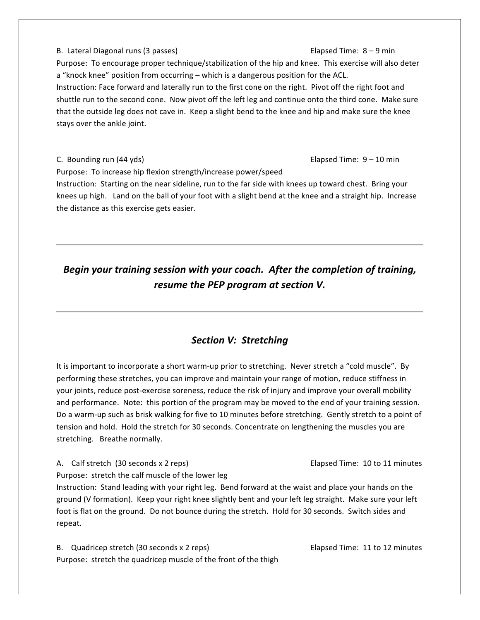B. Lateral Diagonal runs (3 passes) Elapsed Time: 8 - 9 min Purpose: To encourage proper technique/stabilization of the hip and knee. This exercise will also deter a "knock knee" position from occurring – which is a dangerous position for the ACL. Instruction: Face forward and laterally run to the first cone on the right. Pivot off the right foot and shuttle run to the second cone. Now pivot off the left leg and continue onto the third cone. Make sure that the outside leg does not cave in. Keep a slight bend to the knee and hip and make sure the knee stays over the ankle joint.

C. Bounding run  $(44 \text{ yds})$  Elapsed Time:  $9-10 \text{ min}$ Purpose: To increase hip flexion strength/increase power/speed Instruction: Starting on the near sideline, run to the far side with knees up toward chest. Bring your knees up high. Land on the ball of your foot with a slight bend at the knee and a straight hip. Increase the distance as this exercise gets easier.

# *Begin your training session with your coach. After the completion of training, resume the PEP program at section V.*

## **Section V: Stretching**

It is important to incorporate a short warm-up prior to stretching. Never stretch a "cold muscle". By performing these stretches, you can improve and maintain your range of motion, reduce stiffness in your joints, reduce post-exercise soreness, reduce the risk of injury and improve your overall mobility and performance. Note: this portion of the program may be moved to the end of your training session. Do a warm-up such as brisk walking for five to 10 minutes before stretching. Gently stretch to a point of tension and hold. Hold the stretch for 30 seconds. Concentrate on lengthening the muscles you are stretching. Breathe normally.

A.!! Calf!stretch!!(30!seconds!x!2!reps)! !!!!! Elapsed!Time:!!10!to!11!minutes

Purpose: stretch the calf muscle of the lower leg

Instruction: Stand leading with your right leg. Bend forward at the waist and place your hands on the ground (V formation). Keep your right knee slightly bent and your left leg straight. Make sure your left foot is flat on the ground. Do not bounce during the stretch. Hold for 30 seconds. Switch sides and repeat.

B. Quadricep stretch (30 seconds x 2 reps)  $\qquad \qquad$  Elapsed Time: 11 to 12 minutes Purpose: stretch the quadricep muscle of the front of the thigh